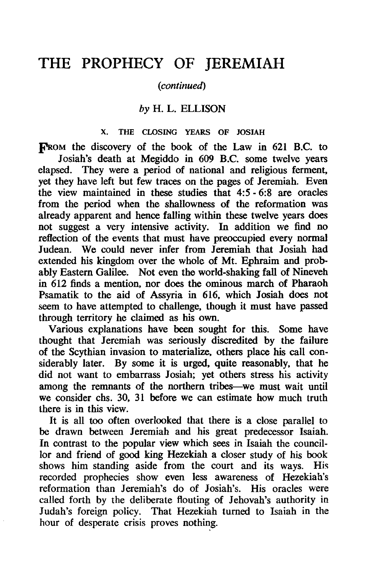# THE PROPHECY OF JEREMIAH

## (continued)

# *by* H. L. ELLISON

#### X. THE CLOSING YEARS OF JOSIAH

FROM the discovery of the book of the Law in 621 B.C. to Josiah's death at Megiddo in 609 B.C. some twelve years elapsed. They were a period of national and religious ferment, yet they have left but few traces on the pages of Jeremiah. Even the view maintained in these studies that 4:5 - 6:8 are oracles from the period when the shallowness of the reformation was already apparent and hence falling within these twelve years does not suggest a very intensive activity. In addition we find no reflection of the events that must have preoccupied every normal Judean. We could never infer from Jeremiah that Josiah had extended his kingdom over the whole of Mt. Ephraim and probably Eastern Galilee. Not even the world-shaking fall of Nineveh in 612 finds a mention, nor does the ominous march of Pharaoh Psamatik to the aid of Assyria in 616, which Josiah does not seem to have attempted to challenge, though it must have passed through territory he claimed as his own.

Various explanations have been sought for this. Some have thought that Jeremiah was seriously discredited by the failure of the Scythian invasion to materialize, others place his call considerably later. By some it is urged, quite reasonably, that he did not want to embarrass Josiah; yet others stress his activity among the remnants of the northern tribes-we must wait until we consider chs. 30, 31 before we can estimate how much truth there is in this view.

It is all too often overlooked that there is a close parallel to be drawn between Jeremiah and his great predecessor Isaiah. In contrast to the popular view which sees in Isaiah the councillor and friend of good king Hezekiah a closer study of his book shows him standing aside from the court and its ways. His recorded prophecies show even less awareness of Hezekiah's reformation than Jeremiah's do of Josiah's. His oracles were called forth by the deliberate flouting of Jehovah's authority in Judah's foreign policy. That Hezekiah turned to Isaiah in the hour of desperate crisis proves nothing.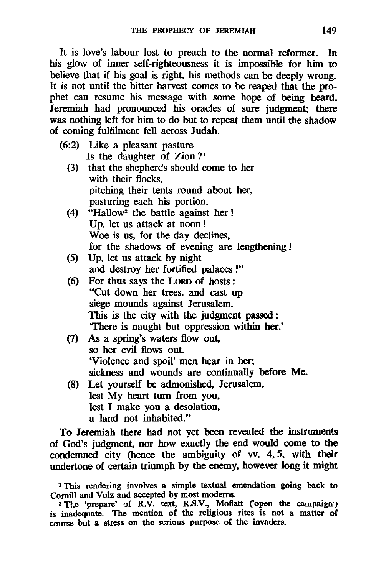It is love's labour lost to preach to the normal reformer. In his glow of inner self-righteousness it is impossible for him to believe that if his goal is right, his methods can be deeply wrong. It is not until the bitter harvest comes to be reaped that the prophet can resume his message with some hope of being heard. Jeremiah had pronounced his oracles of sure judgment; there was nothing left for him to do but to repeat them until the shadow of coming fulfilment fell across Judah.

- (6:2) Like a pleasant pasture Is the daughter of Zion  $?<sup>1</sup>$ 
	- (3) that the shepherds should come to her with their flocks. pitching their tents round about her, pasturing each his portion.
	- (4)  $\text{``Hallow}^2$  the battle against her! Up, let us attack at noon! Woe is us, for the day declines, for the shadows of evening are lengthening!
	- (5) Up, let us attack by night and destroy her fortified palaces !"
	- (6) For thus says the LoRD of hosts: "Cut down her trees, and cast up siege mounds against Jerusalem. This is the city with the judgment passed: 'There is naught but oppression within her.'
	- (7) As a spring's waters flow out, so her evil flows out. 'Violence and spoil' men hear in her; sickness and wounds are continually before Me.
	- (8) Let yourself be admonished, Jerusalem, lest My heart turn from you, lest I make you a desolation, a land not inhabited."

To Jeremiah there had not yet been revealed the instruments of God's judgment, nor how exactly the end would come to the condemned city (hence the ambiguity of vv. 4, 5, with their undertone of certain triumph by the enemy, however long it might

<sup>1</sup>This rendering involves a simple textual emendation going back to Comill and Volz and accepted by most modems.

<sup>&</sup>lt;sup>2</sup>The 'prepare' of R.V. text, R.S.V., Moflatt ('open the campaign') is inadequate. The mention of the religious rites is not a matter of course but a stress on the serious purpose of the invaders.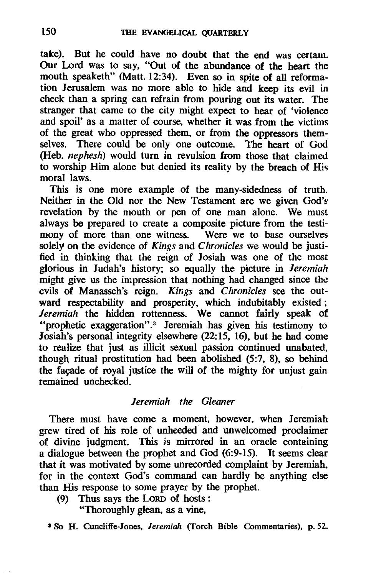take). But he could have no doubt that the end was certain. Our Lord was to say, "Out of the abundance of the heart the mouth speaketh" (Matt. 12:34). Even so in spite of all reformation Jerusalem was no more able to hide and keep its evil in check than a spring can refrain from pouring out its water. The stranger that came to the city might expect to hear of 'violence and spoil' as a matter of course, whether it was from the victims of the great who oppressed them, or from the oppressors themselves. There could be only one outcome. The heart of God (Heb. *nephesh)* would turn in revulsion from those that claimed to worship Him alone but denied its reality by the breach of His moral laws.

This is one more example of the many-sidedness of truth. Neither in the Old nor the New Testament are we given God's revelation by the mouth or pen of one man alone. We must always be prepared to create a composite picture from the testimony of more than one witness. Were we to base ourselves solely on the evidence of *Kings* and *Chronicles* we would be justified in thinking that the reign of losiah was one of the most glorious in Judah's history; so equally the picture in *Jeremiah*  might give us the impression that nothing had changed since the evils of Manasseh's reign. *Kings* and *Chronicles* see the outward respectability and prosperity, which indubitably existed; *Jeremiah* the hidden rottenness. We cannot fairly speak of ·'prophetic exaggeration". 3 Jeremiah has given his testimony to Josiah's personal integrity elsewhere (22:15, 16), but he had come to realize that just as illicit sexual passion continued unabated, though ritual prostitution had been abolished (5:7, 8), so behind the facade of royal justice the will of the mighty for unjust gain remained unchecked.

### *Jeremiah the Gleaner*

There must have come a moment, however, when Jeremiah grew tired of his role of unheeded" and unwelcomed proclaimer of divine judgment. This is mirrored in an oracle containing  $\alpha$  dialogue between the prophet and God (6:9-15). It seems clear that it was motivated by some unrecorded complaint by Jeremiah, for in the context God's command can hardly be anything else than His response to some prayer by the prophet.

(9) Thus says the LoRD of hosts:

"Thoroughly glean, as a vine,

a So H. Cuncliffe-Iones, *Jeremiah* (Torch Bible Commentaries). p. 52.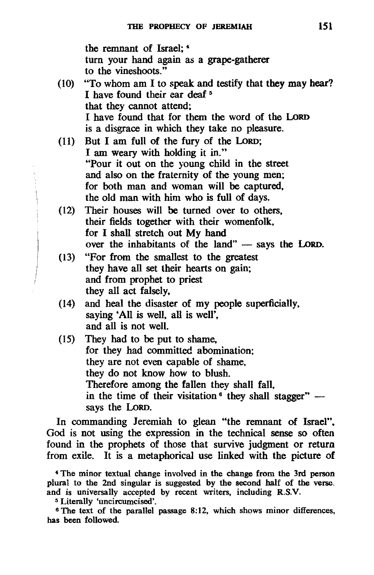the remnant of Israel; <sup>4</sup> turn your hand again as a grape-gatherer to the vineshoots."

- (10) "To whom am I to speak and testify that they may hear? I have found their ear deaf 5 that they cannot attend; I have found that for them the word of the LoRD is a disgrace in which they take no pleasure.
- (11) But I am full of the fury of the LoRD; I am weary with holding it in." "Pour it out on the young child in the street and also on the fraternity of the young men; for both man and woman will be captured. the old man with him who is full of days.
- (12) Their houses will be turned over to others. their fields together with their womenfolk. for I shall stretch out My hand over the inhabitants of the land" - says the LORD.
- (I 3) "For from the smallest to the greatest they have all set their hearts on gain; and from prophet to priest they all act falsely.
- (14) and heal the disaster of my people superficially. saying 'All is well, all is well', and all is not well.
- (15) They had to be put to shame, for they had committed abomination; they are not even capable of shame. they do not know how to blush. Therefore among the fallen they shall fall. in the time of their visitation  $\delta$  they shall stagger" says the LoRD.

In commanding Jeremiah to glean "the remnant of Israel", God is not using the expression in the technical sense so often found in the prophets of those that survive judgment or return from exile. It is a metaphorical use linked with the picture of

5 Literally 'uncircumcised'.

<sup>6</sup> The text of the parallel passage 8:12, which shows minor differences, has been followed.

<sup>4</sup> The minor textual change involved in the change from the 3rd person plural to the 2nd singular is suggested by the second half of the verse. and is universally accepted by recent writers, including R.S.V.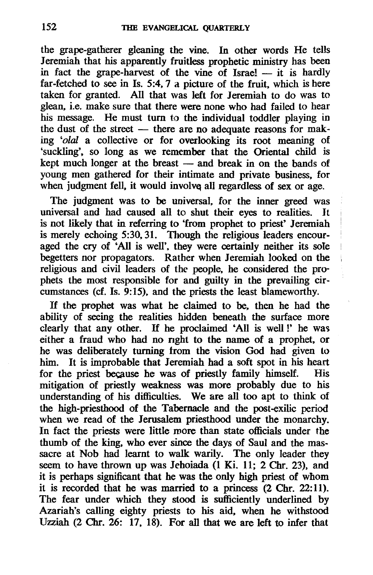the grape-gatherer gleaning the vine. In other words He telJs Jeremiah that his apparently fruitless prophetic ministry has been in fact the grape-harvest of the vine of Israel  $-$  it is hardly far-fetched to see in Is. 5:4.7 a picture of the fruit. which is here taken for granted. All that was left for Jeremiah to do was to glean. i.e. make sure that there were none who had failed to hear his message. He must turn to the individual toddler playing in the dust of the street  $-$  there are no adequate reasons for making *'olal* a collective or for overlooking its root meaning of 'suckling'. so long as we remember that the Oriental child is kept much longer at the breast  $-$  and break in on the bands of young men gathered for their intimate and private business. for when judgment fell, it would involve all regardless of sex or age.

The judgment was to be universal. for the inner greed was universal and had caused all to shut their eyes to realities. It is not likely that in referring to 'from prophet to priest' Jeremiah is merely echoing 5:30.31. Though the religious leaders encouraged the cry of 'All is well', they were certainly neither its sole begetters nor propagators. Rather when Jeremiah looked on the religious and civil leaders of the people, he considered the prophets the most responsible for and guilty in the prevailing circumstances (cf. Is.  $9:15$ ), and the priests the least blameworthy.

If the prophet was what he claimed to be. then he had the ability of seeing the realities hidden beneath the surface more clearly that any other. If he proclaimed 'All is well!' he was either a fraud who had no nght to the name of a prophet. or he was deliberately turning trom the vision God had given to him. It is improbable that Jeremiah had a soft spot in his heart for the priest because he was of priestly family himself. His for the priest because he was of priestly family himself. mitigation of priestly weakness was more probably due to his understanding of his difficulties. We are all too apt to think of the high-priesthood of the Tabernacle and the post-exilic period when we read of the Jerusalem priesthood under the monarchy. In fact the priests were little more than state officials under the thumb of the king. who ever since the days of Saul and the massacre at Nob had learnt to walk warily. The only leader they seem to have thrown up was Jehoiada (1 Ki. 11; 2 Chr. 23), and it is perhaps significant that he was the only high priest of whom it is recorded that he was married to a princess (2 Chr. 22:11). The fear under which they stood is sufficiently underlined by Azariah's calling eighty priests to his aid. when he withstood Uzziah (2 Chr. 26: 17. 18). For all that we are left to infer that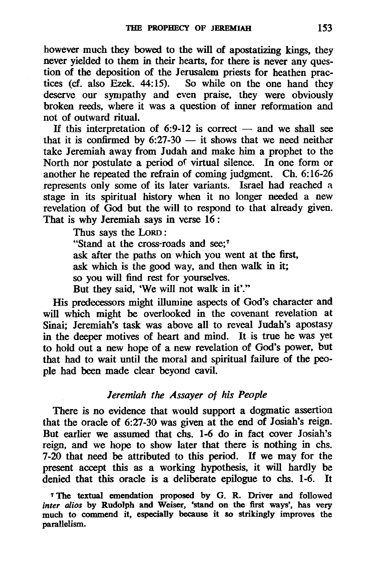however much they bowed to the will of apostatizing kings. they never yielded to them in their hearts, for there is never any question of the deposition of the Jerusalem priests for heathen practices (cf. also Ezek. 44:15). So while on the one hand they deserve our sympathy and even praise, they were obviously broken reeds. where it was a question of inner reformation and not of outward ritual.

If this interpretation of 6:9-12 is correct  $-$  and we shall see that it is confirmed by  $6:27-30$  — it shows that we need neither take Jeremiah away from Judah and make him a prophet to the North nor postulate a period of virtual silence. In one form or another he repeated the refrain of coming judgment. Ch. 6: 16-26 represents only some of its later variants. Israel had reached a stage in its spiritual history when it no longer needed a new revelation of God but the will to respond to that already given. That is why Jeremiah says in verse 16 :

Thus says the LoRD :

"Stand at the cross-roads and see:<sup>7</sup> ask after the paths on which you went at the first, ask which is the good way. and then walk in it; so you will find rest for yourselves. But they said. 'We will not walk in it'."

His predecessors might illumine aspects of God's character and will which might be overlooked in the covenant revelation at Sinai; Jeremiah's task was above all to reveal Judah's apostasy in the deeper motives of heart and mind. It is true he was yet to hold out a new hope of a new revelation of God's power, but that had to wait until the moral and spiritual failure of the people had been made clear beyond cavil.

# *Jeremiah the Assayer of his People*

There is no evidence that would support a dogmatic assertion that the oracle of 6:27-30 was given at the end of Josiah's reign. But earlier we assumed that chs. 1-6 do in fact cover Josiah's reign. and we hope to show later that there is nothing in chs. 7-20 that need be attributed to this period. If we may for the present accept this as a working hypothesis, it will hardly be denied that this oracle is a deliberate epilogue to chs. 1-6. It

7 The textual emendation proposed by G. R. Driver and followed *inter alios* by Rudolph and Weiser. 'stand on the first ways', has very much to commend it, especially because it so strikingly improves the parallelism.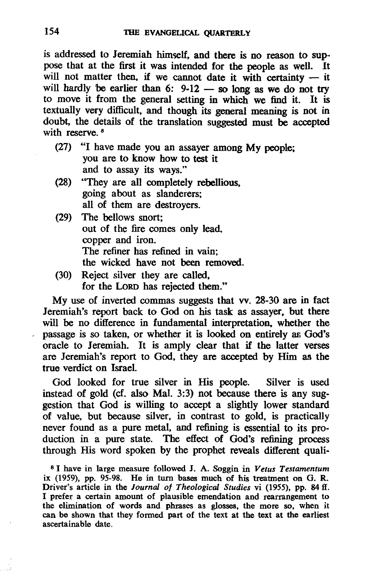is addressed to Jeremiah himself. and there is no reason to sup· pose that at the first it was intended for the people as well. It will not matter then, if we cannot date it with certainty  $-$  it will hardly be earlier than 6:  $9-12$  - so long as we do not try to move it from the general setting in which we find it. It is textually very difficult. and though its general meaning is not in doubt. the details of the translation suggested must be accepted with reserve.<sup>8</sup>

- (27) "I have made you an assayer among My people; you are to know how to test it and to assay its ways."
- (28) "They are all completely rebellious. going about as slanderers; all of them are destroyers.
- (29) The bellows snort; out of the fire comes only lead, copper and iron. The refiner has refined in vain; the wicked have not been removed.
- (30) Reject silver they are called. for the LoRD has rejected them."

My use of inverted commas suggests that vv. 28-30 are in fact Jeremiah's report back to God on his task as assayer. but there will be no difference in fundamental interpretation, whether the passage is so taken. or whether it is looked on entirely ar. God's oracle to Jeremiah. It is amply clear that if the latter verses are Jeremiah's report to God. they are accepted by Him as the true verdict on Israel.

God looked for true silver in His people. Silver is used instead of gold (cf. also Mal. 3:3) not because there is any suggestion that God is willing to accept a slightly lower standard of value. but because silver. in contrast to gold. is practically never found as a pure metal. and refining is essential to its production in a pure state. The effect of God's refining process through His word spoken by the prophet reveals different quali-

8 I have in large measure followed J. A. Soggin in *Vetus Testamentum*  ix (1959), pp. 95-98. He in turn bases much of his treatment on G. R. Driver's article in the *Journal of Theological Studies* vi (1955), pp. 84 ff. I prefer a certain amount of plausible emendation and rearrangement to the elimination of words and phrases as glosses, the more so, when it can be shown that they formed part of the text at the text at the earliest ascertainable date.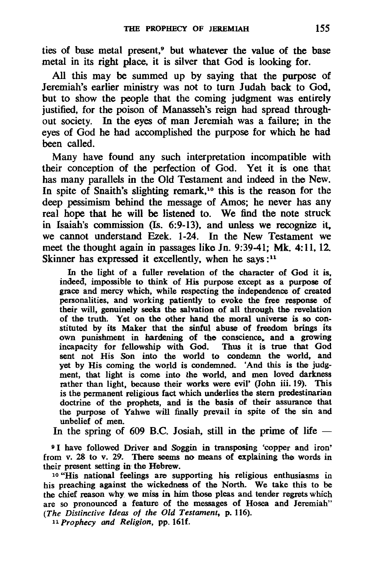ties of base metal present,<sup>9</sup> but whatever the value of the base metal in its right place, it is silver that God is looking for.

All this may be summed up by saying that the purpose of Jeremiah's earlier ministry was not to turn Judah back to God, but to show the people that the coming judgment was entirely justified, for the poison of Manasseh's reign had spread throughout society. In the eyes of man Jeremiah was a failure; in the eyes of God he had accomplished the purpose for which he had been called.

Many have found any such interpretation incompatible with their conception of the perfection of God. Yet it is one that has many parallels in the Old Testament and indeed in the New. In spite of Snaith's slighting remark,<sup>10</sup> this is the reason for the deep pessimism behind the message of Amos; he never has any real hope that he will be listened to. We find the note struck in Isaiah's commission (Is. 6:9-13), and unless we recognize it. we cannot understand Ezek. 1-24. In the New Testament we meet the thought again in passages like In. 9:39-41; Mk. 4:11, 12. Skinner has expressed it excellently, when he says:<sup>11</sup>

In the light of a fuller revelation of the character of God it is, indeed, impossible to think of His purpose except as a purpose of grace and mercy which, while respecting the independence of created personalities, and working patiently to evoke the free response of their will, genuinely seeks the salvation of all through the revelation of the truth. Yet on the other hand the moral universe is so constituted by its Maker that the sinful abuse of freedom brings its own punishment in hardening of the conscience, and a growing incapacity for fellowship with God. Thus it is true that God sent not His Son into the world to condemn the world, and yet by His coming the world is condemned. 'And this is the judgment, that light is come into the world, and men loved darkness rather than light, because their works were evil' (John iii. 19). This is the permanent religious fact which underlies the stem predestinarian doctrine of the prophets, and is the basis of their assurance that the purpose of Yahwe will finally prevail in spite of the sin and unbelief of men.

In the spring of 609 B.C. Josiah, still in the prime of life  $-$ 

<sup>9</sup>I have followed Driver and Soggin in transposing 'copper and iron' from v. 28 to v. 29. There seems no means of explaining the words in their present setting in the Hebrew.

10 "His national feelings are supporting his religious enthusiasms in his preaching against the wickedness of the North. We take this to be the chief reason why we miss in him those pleas and. tender regrets which are so pronounced a feature of the messages of Hosea and Jeremiah" *(The Distinctive Ideas of the Old Testament,* p. 116).

11 *Prophecy and Religion,* pp. 16lf.